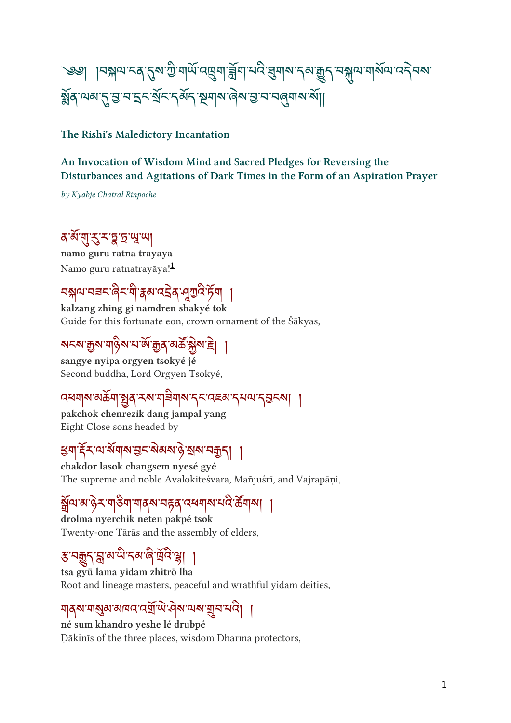# $\sim$ ୋ | ଏକ୍ଲାମ ଏସ୍ ଥିବା ମାଣା ସାମିନା ୱାରା ମଧ୍ୟ ସିନାର ଏକ ଶି $\lambda$  ମର୍ଥ୍ୟ ସାହାଯାଏ $\lambda$ ମଣା  $310$   $11\omega$   $25\omega$   $52\omega$   $31\omega$   $51\omega$   $31\omega$   $31\omega$

#### The Rishi's Maledictory Incantation

#### An Invocation of Wisdom Mind and Sacred Pledges for Reversing the Disturbances and Agitations of Dark Times in the Form of an Aspiration Prayer

by Kyabje Chatral Rinpoche

# १ व रा २ २ ३ २ % ला

namo guru ratna trayaya Namo guru ratnatrayāya!<sup>[1](#ref1)</sup>

# བལ་བཟང་ང་་མ་འ ེ ན་་ཏ ོ ག །

kalzang zhing gi namdren shakyé tok Guide for this fortunate eon, crown ornament of the Śākyas,

### ଅଟୁ ସିକ୍ଷା ସ $|\lambda_0\rangle$ ରେ ମାରା ସିର୍ବାଚ୍ଚର କ୍ଷିମ ହ $|\lambda_0\rangle$

sangye nyipa orgyen tsokyé jé Second buddha, Lord Orgyen Tsokyé,

#### ব্ধশম্মউন্সুর্ম্বম্মশ্রিশম্ব্র্ম্বেল্ম্ব্র্ম্ব্র্ম্ব্র্ম্ব্র্ম্ব্র্ম্ব্র্য

pakchok chenrezik dang jampal yang Eight Close sons headed by

### त्रिनार् सालाल तेर अवसारे अवस्थी |

chakdor lasok changsem nyesé gyé The supreme and noble Avalokiteśvara, Mañjuśrī, and Vajrapāṇi,

#### ଖିଏ ବାଂ୫- ଏବଏ ଏବ ବିଧି ଓ ବାର୍ଥ ବାର୍ଥ ।

drolma nyerchik neten pakpé tsok Twenty-one Tārās and the assembly of elders,

#### ३ २ गुरी भू २ व्या देव देखा ।

tsa gyü lama yidam zhitrö lha Root and lineage masters, peaceful and wrathful yidam deities,

#### <u> મ</u>ોર્ચન્ન નોર્ચન્ન આનંદ હતા. તાનને નોર્ચન્ન નોર્ચન નોર્ચ |

né sum khandro yeshe lé drubpé Ḍākinīs of the three places, wisdom Dharma protectors,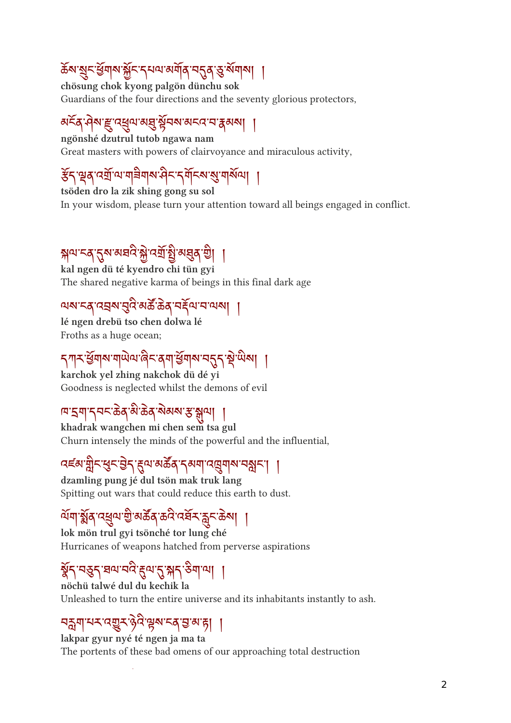# क्ष्य शुरुखयात्र भुरु राग्न व्ययाव सुरुव छ व्ययाचा ।

chösung chok kyong palgön dünchu sok Guardians of the four directions and the seventy glorious protectors,

### अन्वे मुन्दुः पशुपालयु ब्रुपनालन्दा पात्रलेन् ।

ngönshé dzutrul tutob ngawa nam Great masters with powers of clairvoyance and miraculous activity,

# ३१.३१.५२१.५१११११११११.५१.५१.५१.१

tsöden dro la zik shing gong su sol In your wisdom, please turn your attention toward all beings engaged in conflict.

# सेल २१ जनतः से उना ई जर्वे जी |

kal ngen dü té kyendro chi tün gyi The shared negative karma of beings in this final dark age

#### $\frac{1}{2}$ ାର ମୁଖି ବାର ଉଚ୍ଚ ମୁଖ୍ୟ ମାଧ୍ୟ |

lé ngen drebü tso chen dolwa lé Froths as a huge ocean;

## <u>اس المريح الي التي اين المريح المستمر</u>د المراجع التي المراج

karchok yel zhing nakchok dü dé yi Goodness is neglected whilst the demons of evil

#### ।¤'షশ'న্নন'ক্টৰ্'ষ্ট'ক্টৰ্'ম্ঝৰ্ম'স্ক'ম্মণ্ৰ ।

khadrak wangchen mi chen sem tsa gul Churn intensely the minds of the powerful and the influential,

### $\frac{1}{3}$  and  $\frac{1}{3}$  and  $\frac{1}{3}$  and  $\frac{1}{3}$  and  $\frac{1}{3}$  and  $\frac{1}{3}$

dzamling pung jé dul tsön mak truk lang Spitting out wars that could reduce this earth to dust.

### ଜୀ ଅର୍ ଓ୍ସିମାରି ବାହା ବାଧାରେ ବିଚ୍ଚନା ।

lok mön trul gyi tsönché tor lung ché Hurricanes of weapons hatched from perverse aspirations

# <u>%२५३२ घुका २५४ थे अर्च स्नाम्ना ।</u>

nöchü talwé dul du kechik la Unleashed to turn the entire universe and its inhabitants instantly to ash.

#### ঘন্ন্ৰমামম্বেয়ুমণ্ট্ৰমিম্বেত্তৰা ।

lakpar gyur nyé té ngen ja ma ta The portents of these bad omens of our approaching total destruction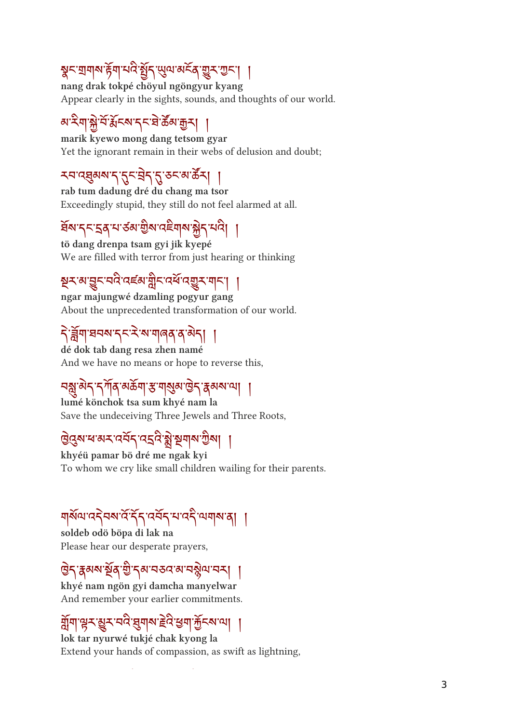# त्रेन ग्रंथल हेर्न नार छैन लेला अन्य बैन जन्न ।

nang drak tokpé chöyul ngöngyur kyang Appear clearly in the sights, sounds, and thoughts of our world.

# <u>୶ଽ୶ୗଌୢୖ୷ୣଽ୲ଽ୶ୄ୰ଽଽଡ଼୶ୖୣଈୄ୰ୗ</u>

marik kyewo mong dang tetsom gyar Yet the ignorant remain in their webs of delusion and doubt;

## <u>ՀԿԾ</u>ฎีตา ၂ 2-31 2 2-9 ต. 9-1

rab tum dadung dré du chang ma tsor Exceedingly stupid, they still do not feel alarmed at all.

# สม 1-29 7 89 มีขาระก่อ มี1 13 1

tö dang drenpa tsam gyi jik kyepé We are filled with terror from just hearing or thinking

### र्नेन अर्डिन नार पहल प्रीन्दन पर्नेन ग्री | |

ngar majungwé dzamling pogyur gang About the unprecedented transformation of our world.

# <u>| प्रियल २८२ जातील वे वटी |</u>

dé dok tab dang resa zhen namé And we have no means or hope to reverse this,

# <u>નર્જી અને નેતાને અજ્ય કે તાજીએ ઉત્ત વેજસાની</u> મ

lumé könchok tsa sum khyé nam la Save the undeceiving Three Jewels and Three Roots,

# এরেস বান্স নমন নহন স্থার স্থাপ এনা ।

khyéü pamar bö dré me ngak kyi To whom we cry like small children wailing for their parents.

### ן נף הן היי ליידי להדי ללידי היה להיו

soldeb odö böpa di lak na Please hear our desperate prayers,

# त्रियल ईर्वे ती. रेल तत्र लाते थेता तरी |

khyé nam ngön gyi damcha manyelwar And remember your earlier commitments.

# भी बेर बैर तार बैनील इंद बन मैरल जी |

lok tar nyurwé tukjé chak kyong la Extend your hands of compassion, as swift as lightning,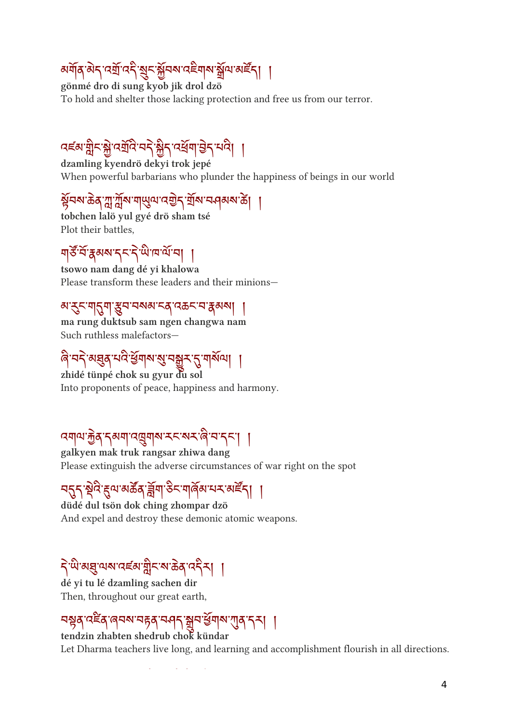# ดๆดูดู เวขาว จี๋ ติ้วตาระขุด มีเขตะ | |

gönmé dro di sung kyob jik drol dzö To hold and shelter those lacking protection and free us from our terror.

# दह्ल प्लैट में उन्नार तर भी पुर उनका नारी |

dzamling kyendrö dekyi trok jepé When powerful barbarians who plunder the happiness of beings in our world

### ३५९७०१११११११९५९७८ हे अर्थातपूर्वच्या ।

tobchen lalö yul gyé drö sham tsé Plot their battles,

## ๆอับสุดขาว วัฒนาขา |

tsowo nam dang dé yi khalowa Please transform these leaders and their minions—

#### མ་ང་གག་བ་བསམ་ངན་འཆང་བ་མས། །

ma rung duktsub sam ngen changwa nam Such ruthless malefactors—

# ।  $\frac{1}{\sqrt{2}}$ ରୁଞ୍ଜ ନାମ ସିନାର ଡି ମଞ୍ଜିନ  $\beta$  ନାରାଣ ।

zhidé tünpé chok su gyur du sol Into proponents of peace, happiness and harmony.

# $\mathcal{A}$ ାନ ଦିବ ମକ୍ଷ୍ୟା ନାର୍ଯ୍ୟାବା ମନ୍ଦ୍ର ବାର୍ଯ୍ୟ ମନ୍ଦ୍ର ।

galkyen mak truk rangsar zhiwa dang Please extinguish the adverse circumstances of war right on the spot

# <u>JJJ zir Zin wod gal oo alida ay af I</u> |

düdé dul tsön dok ching zhompar dzö And expel and destroy these demonic atomic weapons.

# <u> २ พ.ศ.รี.ทพ.ศรศ. มีค.ศ.จด. 321 |</u>

dé yi tu lé dzamling sachen dir Then, throughout our great earth,

# 939759699975974973999999997

tendzin zhabten shedrub chok kündar Let Dharma teachers live long, and learning and accomplishment flourish in all directions.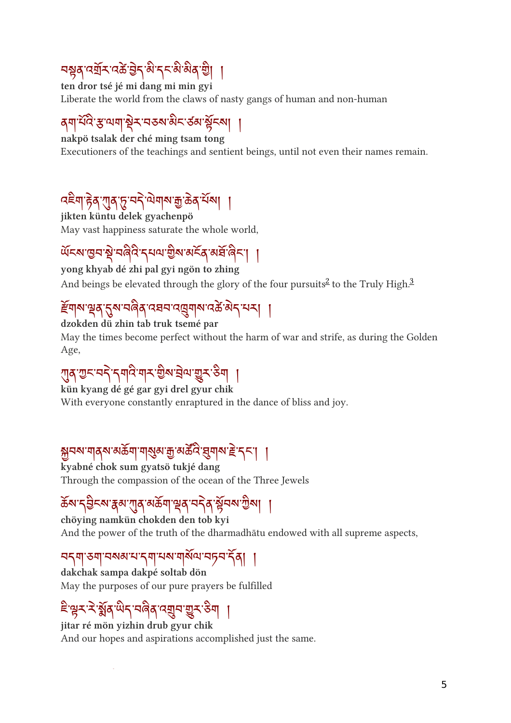# ละว่าง ระบาง ระบาง ระบาง ระบาง

ten dror tsé jé mi dang mi min gyi Liberate the world from the claws of nasty gangs of human and non-human

# वर्ण नार साम्राष्ट्र राज्यान रुवा बेरण |

nakpö tsalak der ché ming tsam tong Executioners of the teachings and sentient beings, until not even their names remain.

# $\frac{1}{2}$  is a set of  $\frac{1}{2}$  in  $\frac{1}{2}$  in  $\frac{1}{2}$  in  $\frac{1}{2}$

jikten küntu delek gyachenpö May vast happiness saturate the whole world,

# ཡ ོ ངས་བ་ ེ་བ་དཔལ་ ི ས་མན་མཐ ོ་ང་། །

yong khyab dé zhi pal gyi ngön to zhing And beings be elevated through the glory of the four pursuits<sup>[2](#ref2)</sup> to the Truly High.<sup>[3](#ref3)</sup>

### $\epsilon$ ୩ས་པྲུན་བྱུས་པན་འཕབ་འ་ལྲུགས་འಹ་མད་པར། །

dzokden dü zhin tab truk tsemé par May the times become perfect without the harm of war and strife, as during the Golden Age,

# $\mathcal{L}(\mathcal{A},\mathcal{A})\rightarrow \mathcal{A}$  and  $\mathcal{A}$  and  $\mathcal{A}$  and  $\mathcal{A}$  and  $\mathcal{A}$

kün kyang dé gé gar gyi drel gyur chik With everyone constantly enraptured in the dance of bliss and joy.

# $\partial \overline{\partial}$ મજ મ $\partial \overline{\partial}$  અ $\overline{\partial}$  મ $\partial \overline{\partial}$  આ જીન્ન કોંગ્રેજી અજ્ય સુમ $\partial \overline{\partial}$

kyabné chok sum gyatsö tukjé dang Through the compassion of the ocean of the Three Jewels

# क्सा रुक्तिसार्थ आर्यानी की जन्म के नगर जन्म ।

chöying namkün chokden den tob kyi And the power of the truth of the dharmadhātu endowed with all supreme aspects,

#### ၁၃၅ ၁၅ ၁၈၈ ၁ ၃၅ ၁၈ ၅၈၀ ၁၇၁ ၃၅ ၂

dakchak sampa dakpé soltab dön May the purposes of our pure prayers be fulfilled

# ་ར་་ ོ ན་ད་བན་འབ་ར་ག །

jitar ré mön yizhin drub gyur chik And our hopes and aspirations accomplished just the same.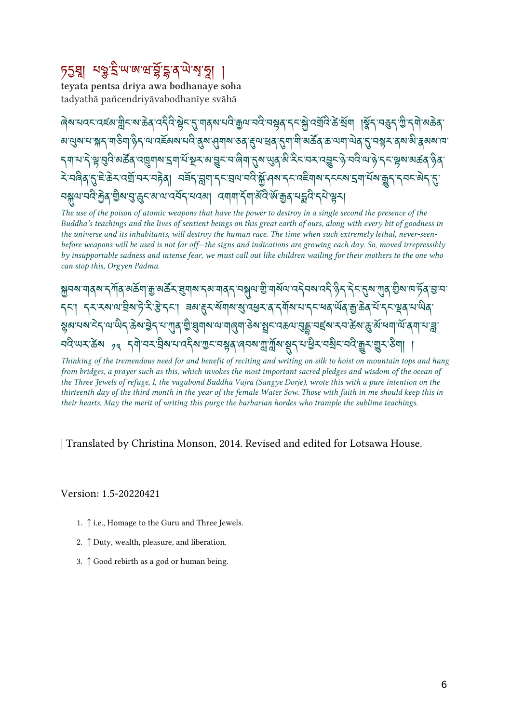# <u>১২খা ১৯২৯ জন্মইইই বুল*ন*্ম খ</u>া

teyata pentsa driya awa bodhanaye soha tadyathā pañcendriyāvabodhanīye svāhā

 $\sim$ المهرس المجري المستقلة المستقلة المستقلة المستقلة المستقلة المستقلة المستقلة المستقلة المستقلة المستقلة المستقلة المستقلة المستقلة المستقلة المستقلة المستقلة المستقلة المستقلة المستقلة المستقلة المستقلة المستقلة المست *ॺॱ*থुॺॱঘॱয়ৢ৲ॱঀ৾ঌঀ৾৽ৢ৴<sup>৻</sup>ঀৼঽৄ</sup>য়য়ৼঀ৾ৼ৻ঀৢয়ৼঀৣঀঀয়ৼঽ৻ৼৢঀৼঀৼঀৼৗৢৼঀৗৼঀড়৻ড়ৼড়৸ঀ৾৸৻ৼঀৼঀৼঀৼ৻৻য়ৼ৻ড়ৼ৾য় <u></u> ব্যাম'ন শ্ল'ব্ৰুই'মৰ্ক্টৰ ব্ৰেত্ৰ্যাৰ হ্ৰাৰ্ম'ষ্টুম'ৰাভূম'ৰ জ্বিমা'নৰ অন্তৰ্য মাইমান প্ৰেম'ৰাজ্য'ৰ মাজৰ জ্বিৰ दे पत्नेव तुम्हे के पर्याप्य पहेन् । पर्वेन न्नगान प्रवाणपति अपि अपि उपयोग पर पत्र वार्थे गुन् नगर बेन तु  $\sim$ ત્રીત નવર્ગીને જીવ્યારી ઉર્જય બાત હત્તને નવર્ગી હત્નીની રીતી બાત બારીને નર્ગમારી રીત કરેની

The use of the poison of atomic weapons that have the power to destroy in a single second the presence of the Buddha's teachings and the lives of sentient beings on this great earth of ours, along with every bit of goodness in the universe and its inhabitants, will destroy the human race. The time when such extremely lethal, never-seenbefore weapons will be used is not far off—the signs and indications are growing each day. So, moved irrepressibly by insupportable sadness and intense fear, we must call out like children wailing for their mothers to the one who can stop this, Orgyen Padma.

 $\partial \partial \phi$ રીતે તારી જોઈ તો વિજ્ઞાન કિંત્રાના કે જ્યારે વિજય તારી તે કીતો જોઈ તો આ હોય છે. જેને ડેટ જે તીવે જીજા તારી વે જ 75 | J179113912787 | ३२.२७॥२३791919979799977799999977789799 એજન્નાન્નાન્નાન્નાન્ના કર્યા અને વિજયના કર્યા હતા. આ વિની જીત કરના જીત નારી જે તારૂ તારૂ જાન્નાના કર્યા નારી ત <u> নদ্দেশ কৰা এৰ বিনাৰে সকলোৱে অভিযুক্ত জীৱন আয়াম ইবি নৱি দল আৰু জীৱন জীৱ।</u>

Thinking of the tremendous need for and benefit of reciting and writing on silk to hoist on mountain tops and hang from bridges, a prayer such as this, which invokes the most important sacred pledges and wisdom of the ocean of the Three Jewels of refuge, I, the vagabond Buddha Vajra (Sangye Dorje), wrote this with a pure intention on the thirteenth day of the third month in the year of the female Water Sow. Those with faith in me should keep this in their hearts. May the merit of writing this purge the barbarian hordes who trample the sublime teachings.

| Translated by Christina Monson, 2014. Revised and edited for Lotsawa House.

Version: 1.5-20220421

- 1. [↑](#backref1) i.e., Homage to the Guru and Three Jewels.
- 2. [↑](#backref2) Duty, wealth, pleasure, and liberation.
- 3. [↑](#backref3) Good rebirth as a god or human being.